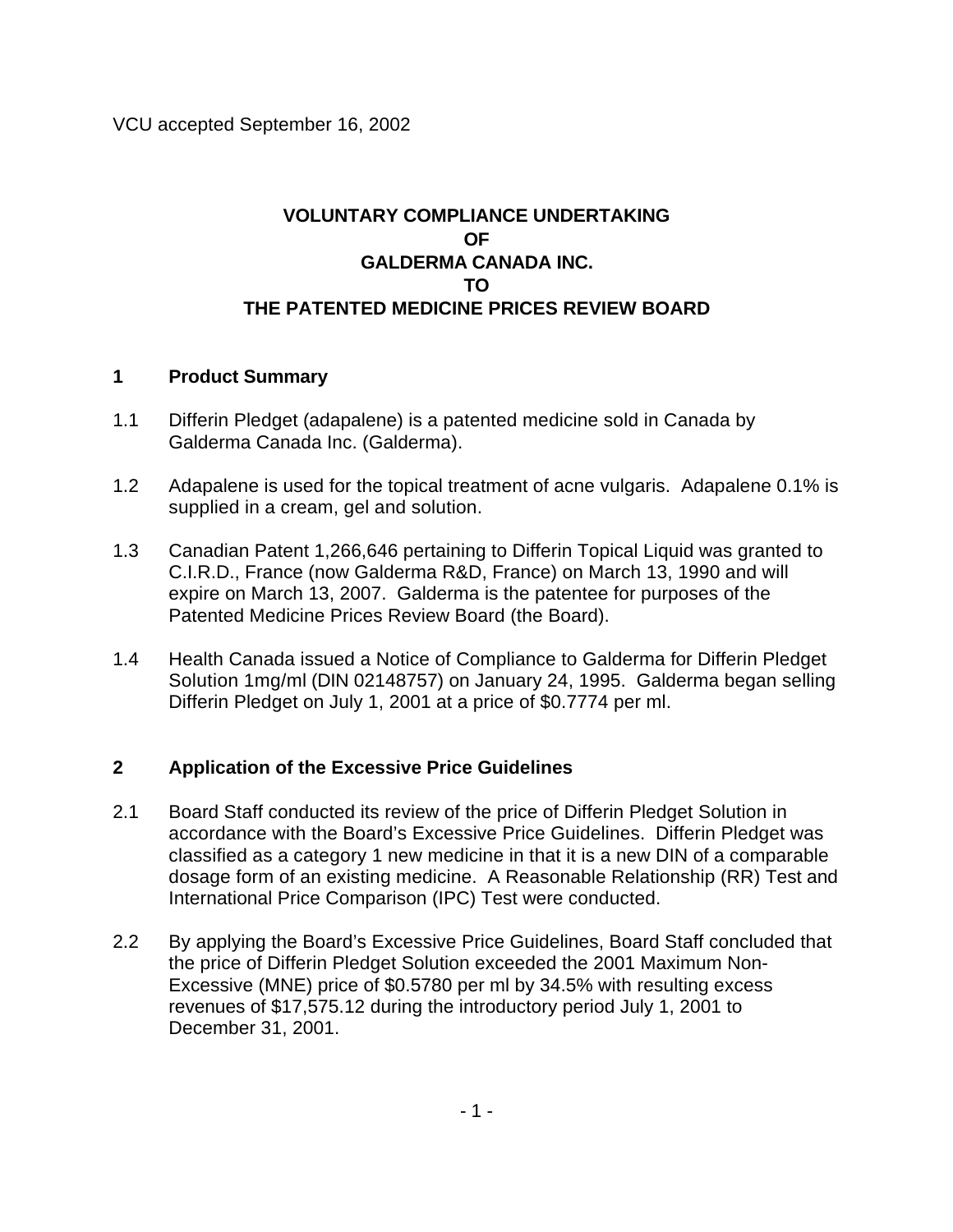## **VOLUNTARY COMPLIANCE UNDERTAKING OF GALDERMA CANADA INC. TO THE PATENTED MEDICINE PRICES REVIEW BOARD**

## **1 Product Summary**

- 1.1 Differin Pledget (adapalene) is a patented medicine sold in Canada by Galderma Canada Inc. (Galderma).
- 1.2 Adapalene is used for the topical treatment of acne vulgaris. Adapalene 0.1% is supplied in a cream, gel and solution.
- 1.3 Canadian Patent 1,266,646 pertaining to Differin Topical Liquid was granted to C.I.R.D., France (now Galderma R&D, France) on March 13, 1990 and will expire on March 13, 2007. Galderma is the patentee for purposes of the Patented Medicine Prices Review Board (the Board).
- 1.4 Health Canada issued a Notice of Compliance to Galderma for Differin Pledget Solution 1mg/ml (DIN 02148757) on January 24, 1995. Galderma began selling Differin Pledget on July 1, 2001 at a price of \$0.7774 per ml.

## **2 Application of the Excessive Price Guidelines**

- 2.1 Board Staff conducted its review of the price of Differin Pledget Solution in accordance with the Board's Excessive Price Guidelines. Differin Pledget was classified as a category 1 new medicine in that it is a new DIN of a comparable dosage form of an existing medicine. A Reasonable Relationship (RR) Test and International Price Comparison (IPC) Test were conducted.
- 2.2 By applying the Board's Excessive Price Guidelines, Board Staff concluded that the price of Differin Pledget Solution exceeded the 2001 Maximum Non-Excessive (MNE) price of \$0.5780 per ml by 34.5% with resulting excess revenues of \$17,575.12 during the introductory period July 1, 2001 to December 31, 2001.